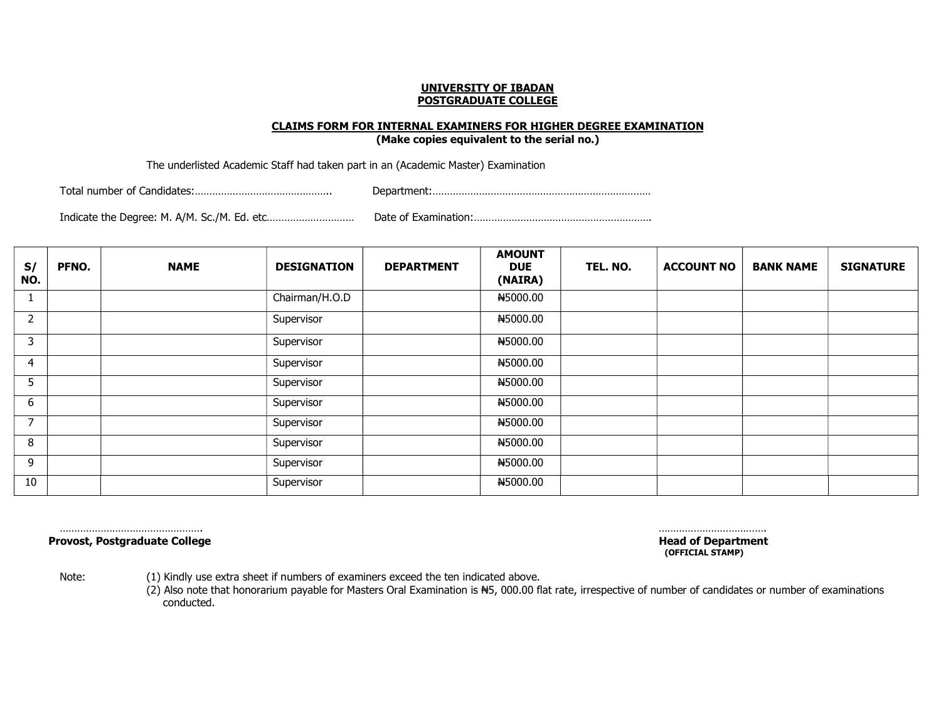#### CLAIMS FORM FOR INTERNAL EXAMINERS FOR HIGHER DEGREE EXAMINATION

(Make copies equivalent to the serial no.)

The underlisted Academic Staff had taken part in an (Academic Master) Examination

Total number of Candidates:……………………………………….. Department:…………………………………………………………………

Indicate the Degree: M. A/M. Sc./M. Ed. etc………………………… Date of Examination:…………………………………………………….

| S/<br>NO. | <b>PFNO.</b> | <b>NAME</b> | <b>DESIGNATION</b> | <b>DEPARTMENT</b> | <b>AMOUNT</b><br><b>DUE</b><br>(NAIRA) | TEL. NO. | <b>ACCOUNT NO</b> | <b>BANK NAME</b> | <b>SIGNATURE</b> |
|-----------|--------------|-------------|--------------------|-------------------|----------------------------------------|----------|-------------------|------------------|------------------|
|           |              |             | Chairman/H.O.D     |                   | #5000.00                               |          |                   |                  |                  |
| 2         |              |             | Supervisor         |                   | N5000.00                               |          |                   |                  |                  |
| 3         |              |             | Supervisor         |                   | N5000.00                               |          |                   |                  |                  |
| 4         |              |             | Supervisor         |                   | N5000.00                               |          |                   |                  |                  |
| 5         |              |             | Supervisor         |                   | #5000.00                               |          |                   |                  |                  |
| 6         |              |             | Supervisor         |                   | #5000.00                               |          |                   |                  |                  |
|           |              |             | Supervisor         |                   | N5000.00                               |          |                   |                  |                  |
| 8         |              |             | Supervisor         |                   | #5000.00                               |          |                   |                  |                  |
| 9         |              |             | Supervisor         |                   | #5000.00                               |          |                   |                  |                  |
| 10        |              |             | Supervisor         |                   | N5000.00                               |          |                   |                  |                  |

Provost, Postgraduate College **Head of Department** 

 …………………………………………. ………………………………. (OFFICIAL STAMP)

Note: (1) Kindly use extra sheet if numbers of examiners exceed the ten indicated above.

 $(2)$  Also note that honorarium payable for Masters Oral Examination is  $#5$ , 000.00 flat rate, irrespective of number of candidates or number of examinations conducted.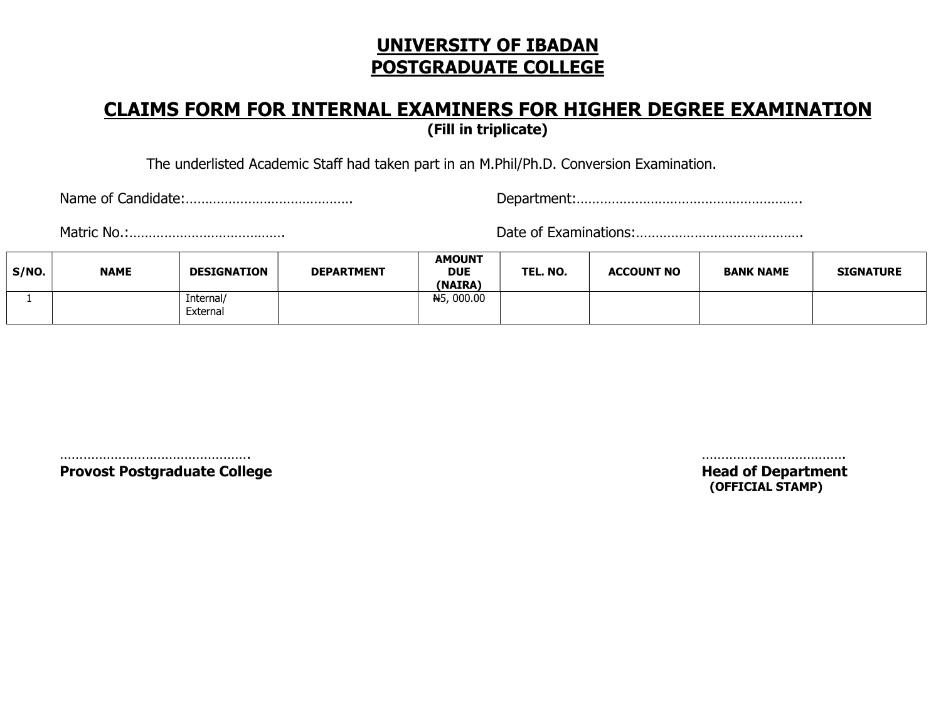#### CLAIMS FORM FOR INTERNAL EXAMINERS FOR HIGHER DEGREE EXAMINATION (Fill in triplicate)

The underlisted Academic Staff had taken part in an M.Phil/Ph.D. Conversion Examination.

Name of Candidate:……………………………………. Department:………………………………………………….

Matric No.:…………………………………. Date of Examinations:…………………………………….

| S/NO. | <b>NAME</b> | <b>DESIGNATION</b>    | <b>DEPARTMENT</b> | <b>AMOUNT</b><br><b>DUE</b><br>(NAIRA) | TEL. NO. | <b>ACCOUNT NO</b> | <b>BANK NAME</b> | <b>SIGNATURE</b> |
|-------|-------------|-----------------------|-------------------|----------------------------------------|----------|-------------------|------------------|------------------|
|       |             | Internal/<br>External |                   | <del>N</del> 5,000.00                  |          |                   |                  |                  |

 …………………………………………. ………………………………. Provost Postgraduate College **Head of Department** 

(OFFICIAL STAMP)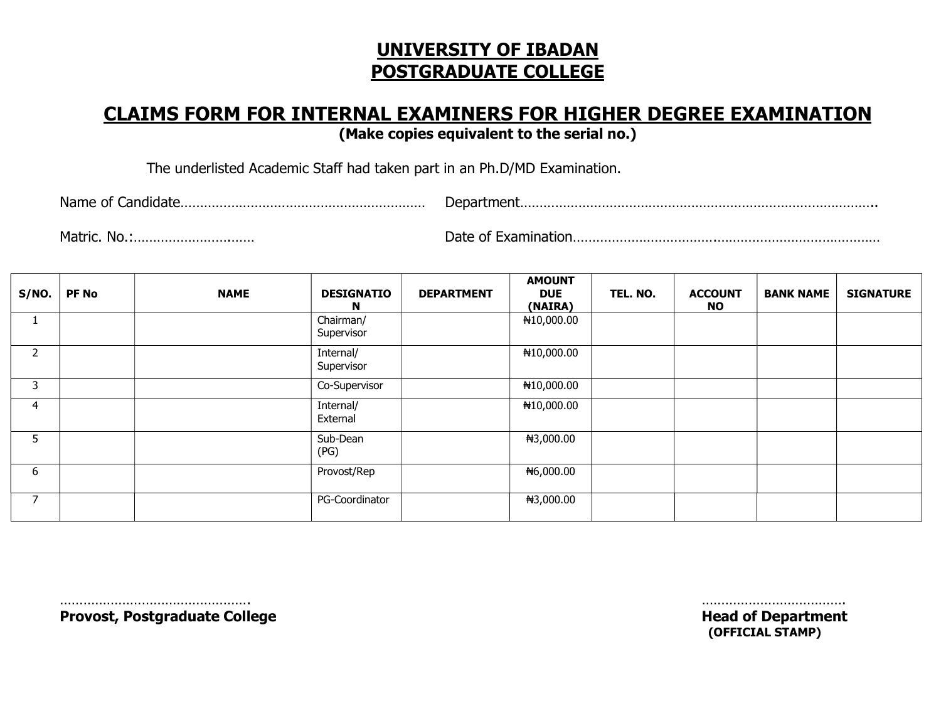### CLAIMS FORM FOR INTERNAL EXAMINERS FOR HIGHER DEGREE EXAMINATION

(Make copies equivalent to the serial no.)

The underlisted Academic Staff had taken part in an Ph.D/MD Examination.

Name of Candidate……………………………………………………… Department………………………………………………………………………………..

Matric. No.:…………………….…… Date of Examination……………………………….……………………………………

| S/NO.    | <b>PF No</b> | <b>NAME</b> | <b>DESIGNATIO</b><br>N  | <b>DEPARTMENT</b> | <b>AMOUNT</b><br><b>DUE</b><br>(NAIRA) | TEL. NO. | <b>ACCOUNT</b><br>NO . | <b>BANK NAME</b> | <b>SIGNATURE</b> |
|----------|--------------|-------------|-------------------------|-------------------|----------------------------------------|----------|------------------------|------------------|------------------|
| <b>I</b> |              |             | Chairman/<br>Supervisor |                   | ₦10,000.00                             |          |                        |                  |                  |
| 2        |              |             | Internal/<br>Supervisor |                   | ₦10,000.00                             |          |                        |                  |                  |
| 3        |              |             | Co-Supervisor           |                   | ₦10,000.00                             |          |                        |                  |                  |
| 4        |              |             | Internal/<br>External   |                   | ₦10,000.00                             |          |                        |                  |                  |
| 5.       |              |             | Sub-Dean<br>(PG)        |                   | ₦3,000.00                              |          |                        |                  |                  |
| 6        |              |             | Provost/Rep             |                   | <del>N</del> 6,000.00                  |          |                        |                  |                  |
| ⇁        |              |             | PG-Coordinator          |                   | ₦3,000.00                              |          |                        |                  |                  |

 …………………………………………. ………………………………. Provost, Postgraduate College **Head of Department** 

(OFFICIAL STAMP)